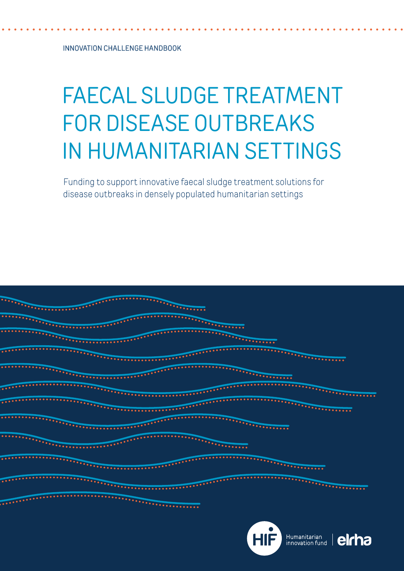INNOVATION CHALLENGE HANDBOOK

# FAECAL SLUDGE TREATMENT FOR DISEASE OUTBREAKS IN HUMANITARIAN SETTINGS

Funding to support innovative faecal sludge treatment solutions for disease outbreaks in densely populated humanitarian settings



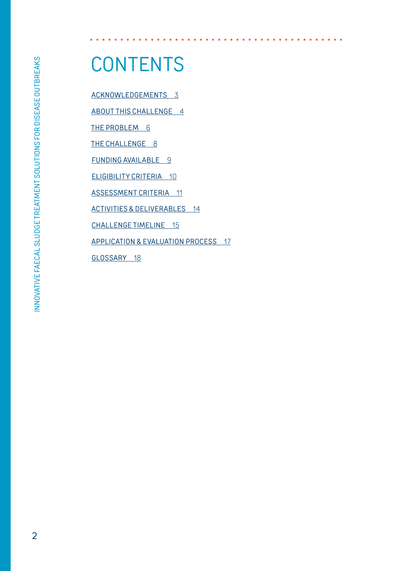# **CONTENTS**

[ACKNOWLEDGEMENTS](#page-2-0) 3

[ABOUT THIS CHALLENGE](#page-3-0) 4

[THE PROBLEM](#page-5-0) 6

[THE CHALLENGE](#page-7-0) 8

[FUNDING AVAILABLE](#page-8-0) 9

[ELIGIBILITY CRITERIA](#page-9-0) 10

[ASSESSMENT CRITERIA](#page-10-0) 11

[ACTIVITIES & DELIVERABLES](#page-13-0) 14

[CHALLENGE TIMELINE](#page-14-0) 15

[APPLICATION & EVALUATION PROCESS](#page-16-0) 17

[GLOSSARY](#page-17-0) 18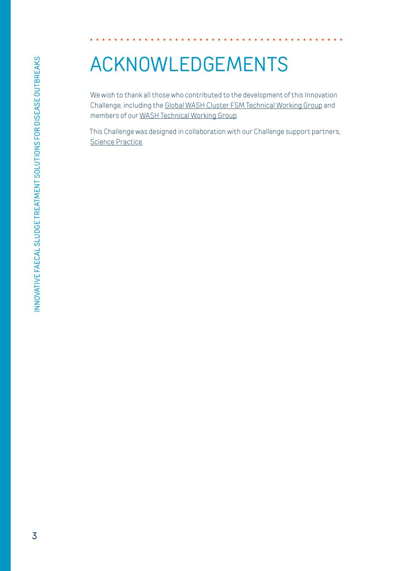### <span id="page-2-0"></span>ACKNOWLEDGEMENTS

We wish to thank all those who contributed to the development of this Innovation Challenge, including the [Global WASH Cluster FSM Technical Working Group](https://www.google.com/url?q=https://washcluster.net/twigs/FSM&sa=D&ust=1598608443705000&usg=AFQjCNF4OUJTGvXKmRCfPyh7kpWsQ6x0UQ) and members of our [WASH Technical Working Group.](https://www.elrha.org/our-people/wash-technical-working-group/)

This Challenge was designed in collaboration with our Challenge support partners, [Science Practice.](https://www.science-practice.com/)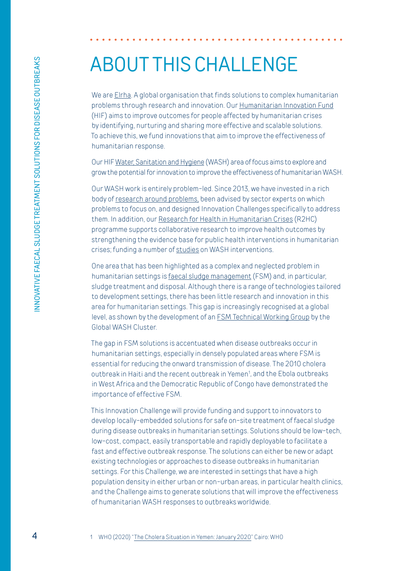### <span id="page-3-0"></span>ABOUT THIS CHALLENGE

We are [Elrha](https://www.elrha.org/). A global organisation that finds solutions to complex humanitarian problems through research and innovation. Our [Humanitarian Innovation Fund](https://www.elrha.org/programme/humanitarian-innovation-fund/) (HIF) aims to improve outcomes for people affected by humanitarian crises by identifying, nurturing and sharing more effective and scalable solutions. To achieve this, we fund innovations that aim to improve the effectiveness of humanitarian response.

Our HIF [Water, Sanitation and Hygiene](https://www.elrha.org/wash/) (WASH) area of focus aims to explore and grow the potential for innovation to improve the effectiveness of humanitarian WASH.

Our WASH work is entirely problem-led. Since 2013, we have invested in a rich body of [research around problems,](https://www.elrha.org/wp-content/uploads/2016/01/HIF-WASH-Gap-Analysis.pdf) been advised by sector experts on which problems to focus on, and designed Innovation Challenges specifically to address them. In addition, our [Research for Health in Humanitarian Crises](https://www.elrha.org/programme/research-for-health-in-humanitarian-crises/) (R2HC) programme supports collaborative research to improve health outcomes by strengthening the evidence base for public health interventions in humanitarian crises; funding a number of [studies](https://www.elrha.org/what-we-fund/?prog=322&t=water-sanitation-hygiene) on WASH interventions.

One area that has been highlighted as a complex and neglected problem in humanitarian settings is [faecal sludge management](https://www.elrha.org/researchdatabase/faecal-sludge-management/) (FSM) and, in particular, sludge treatment and disposal. Although there is a range of technologies tailored to development settings, there has been little research and innovation in this area for humanitarian settings. This gap is increasingly recognised at a global level, as shown by the development of an [FSM Technical Working Group](https://washcluster.net/twigs/FSM) by the Global WASH Cluster.

The gap in FSM solutions is accentuated when disease outbreaks occur in humanitarian settings, especially in densely populated areas where FSM is essential for reducing the onward transmission of disease. The 2010 cholera outbreak in Haiti and the recent outbreak in Yemen<sup>1</sup>, and the Ebola outbreaks in West Africa and the Democratic Republic of Congo have demonstrated the importance of effective FSM.

This Innovation Challenge will provide funding and support to innovators to develop locally-embedded solutions for safe on-site treatment of faecal sludge during disease outbreaks in humanitarian settings. Solutions should be low-tech, low-cost, compact, easily transportable and rapidly deployable to facilitate a fast and effective outbreak response. The solutions can either be new or adapt existing technologies or approaches to disease outbreaks in humanitarian settings. For this Challenge, we are interested in settings that have a high population density in either urban or non-urban areas, in particular health clinics, and the Challenge aims to generate solutions that will improve the effectiveness of humanitarian WASH responses to outbreaks worldwide.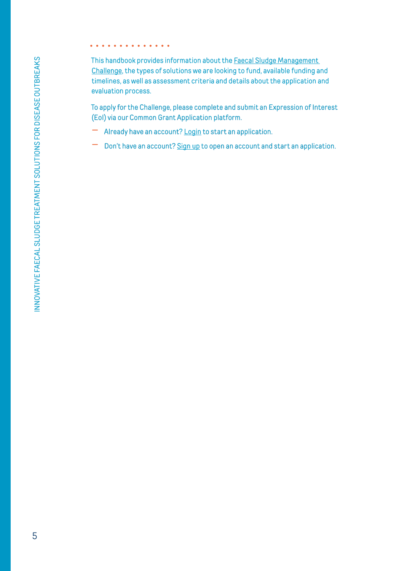This handbook provides information about the [Faecal Sludge Management](https://www.elrha.org/funding-opportunity/innovation-challenge-faecal-sludge-treatment-for-disease-outbreaks-in-humanitarian-settings)  [Challenge,](https://www.elrha.org/funding-opportunity/innovation-challenge-faecal-sludge-treatment-for-disease-outbreaks-in-humanitarian-settings) the types of solutions we are looking to fund, available funding and timelines, as well as assessment criteria and details about the application and evaluation process.

To apply for the Challenge, please complete and submit an Expression of Interest (EoI) via our Common Grant Application platform.

- Already have an account? [Login](https://www.commongrantapplication.com/login.php?refOrgId=20971&refProgId=798&refProgType=all) to start an application.
- Don't have an account? [Sign up](https://www.commongrantapplication.com/register.php?refOrgId=20971&refProgId=798&refProgType=all) to open an account and start an application.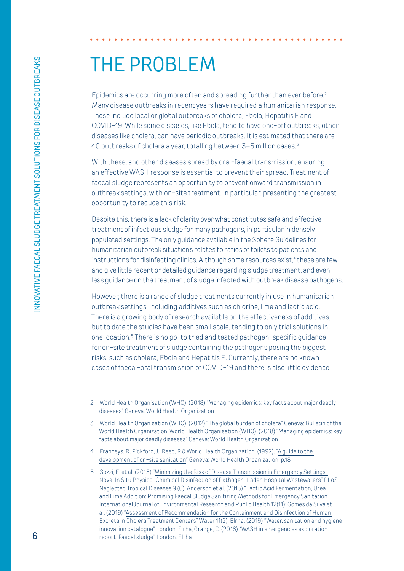### <span id="page-5-0"></span>THE PROBLEM

Epidemics are occurring more often and spreading further than ever before.<sup>2</sup> Many disease outbreaks in recent years have required a humanitarian response. These include local or global outbreaks of cholera, Ebola, Hepatitis E and COVID-19. While some diseases, like Ebola, tend to have one-off outbreaks, other diseases like cholera, can have periodic outbreaks. It is estimated that there are 40 outbreaks of cholera a year, totalling between 3–5 million cases.3

With these, and other diseases spread by oral-faecal transmission, ensuring an effective WASH response is essential to prevent their spread. Treatment of faecal sludge represents an opportunity to prevent onward transmission in outbreak settings, with on-site treatment, in particular, presenting the greatest opportunity to reduce this risk.

Despite this, there is a lack of clarity over what constitutes safe and effective treatment of infectious sludge for many pathogens, in particular in densely populated settings. The only guidance available in the [Sphere Guidelines](https://spherestandards.org/wp-content/uploads/Sphere-Handbook-2018-EN.pdf) for humanitarian outbreak situations relates to ratios of toilets to patients and instructions for disinfecting clinics. Although some resources exist,<sup>4</sup> these are few and give little recent or detailed guidance regarding sludge treatment, and even less guidance on the treatment of sludge infected with outbreak disease pathogens.

However, there is a range of sludge treatments currently in use in humanitarian outbreak settings, including additives such as chlorine, lime and lactic acid. There is a growing body of research available on the effectiveness of additives, but to date the studies have been small scale, tending to only trial solutions in one location.5 There is no go-to tried and tested pathogen-specific guidance for on-site treatment of sludge containing the pathogens posing the biggest risks, such as cholera, Ebola and Hepatitis E. Currently, there are no known cases of faecal-oral transmission of COVID-19 and there is also little evidence

- 2 World Health Organisation (WHO). (2018) ["Managing epidemics: key facts about major deadly](https://www.who.int/emergencies/diseases/managing-epidemics-interactive.pdf)  [diseases](https://www.who.int/emergencies/diseases/managing-epidemics-interactive.pdf)" Geneva: World Health Organization
- 3 World Health Organisation (WHO). (2012) "[The global burden of cholera](https://www.who.int/bulletin/volumes/90/3/11-093427/en/)" Geneva: Bulletin of the World Health Organization; World Health Organisation (WHO). (2018) ["Managing epidemics: key](https://www.who.int/emergencies/diseases/managing-epidemics-interactive.pdf)  [facts about major deadly diseases"](https://www.who.int/emergencies/diseases/managing-epidemics-interactive.pdf) Geneva: World Health Organization
- 4 Franceys, R, Pickford, J., Reed, R & World Health Organization. (1992). "[A guide to the](https://apps.who.int/iris/handle/10665/39313)  [development of on-site sanitation](https://apps.who.int/iris/handle/10665/39313)" Geneva: World Health Organization, p.18
- 5 Sozzi, E. et al. (2015) "[Minimizing the Risk of Disease Transmission in Emergency Settings:](https://journals.plos.org/plosntds/article?id=10.1371/journal.pntd.0003776)  [Novel In Situ Physico-Chemical Disinfection of Pathogen-Laden Hospital Wastewaters](https://journals.plos.org/plosntds/article?id=10.1371/journal.pntd.0003776)" PLoS Neglected Tropical Diseases 9 (6); Anderson et al. (2015) "[Lactic Acid Fermentation, Urea](https://www.ncbi.nlm.nih.gov/pubmed/26528995)  [and Lime Addition: Promising Faecal Sludge Sanitizing Methods for Emergency Sanitation"](https://www.ncbi.nlm.nih.gov/pubmed/26528995) International Journal of Environmental Research and Public Health 12(11); Gomes da Silva et al. (2019) ["Assessment of Recommendation for the Containment and Disinfection of Human](https://www.researchgate.net/publication/330593623_Assessment_of_Recommendation_for_the_Containment_and_Disinfection_of_Human_Excreta_in_Cholera_Treatment_Centers)  [Excreta in Cholera Treatment Centers](https://www.researchgate.net/publication/330593623_Assessment_of_Recommendation_for_the_Containment_and_Disinfection_of_Human_Excreta_in_Cholera_Treatment_Centers)" Water 11(2); Elrha. (2019) "[Water, sanitation and hygiene](https://www.elrha.org/wp-content/uploads/2019/01/HIF-WASH-innovation-catalogue-WEB_9.5MB.pdf)  [innovation catalogue"](https://www.elrha.org/wp-content/uploads/2019/01/HIF-WASH-innovation-catalogue-WEB_9.5MB.pdf) London: Elrha; Grange, C. (2016) "WASH in emergencies exploration report: Faecal sludge" London: Elrha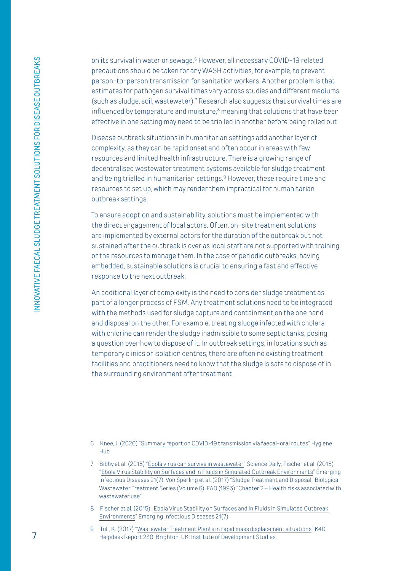on its survival in water or sewage.<sup>6</sup> However, all necessary COVID-19 related precautions should be taken for any WASH activities, for example, to prevent person-to-person transmission for sanitation workers. Another problem is that estimates for pathogen survival times vary across studies and different mediums (such as sludge, soil, wastewater).7 Research also suggests that survival times are influenced by temperature and moisture,<sup>8</sup> meaning that solutions that have been effective in one setting may need to be trialled in another before being rolled out.

Disease outbreak situations in humanitarian settings add another layer of complexity, as they can be rapid onset and often occur in areas with few resources and limited health infrastructure. There is a growing range of decentralised wastewater treatment systems available for sludge treatment and being trialled in humanitarian settings.<sup>9</sup> However, these require time and resources to set up, which may render them impractical for humanitarian outbreak settings.

To ensure adoption and sustainability, solutions must be implemented with the direct engagement of local actors. Often, on-site treatment solutions are implemented by external actors for the duration of the outbreak but not sustained after the outbreak is over as local staff are not supported with training or the resources to manage them. In the case of periodic outbreaks, having embedded, sustainable solutions is crucial to ensuring a fast and effective response to the next outbreak.

An additional layer of complexity is the need to consider sludge treatment as part of a longer process of FSM. Any treatment solutions need to be integrated with the methods used for sludge capture and containment on the one hand and disposal on the other. For example, treating sludge infected with cholera with chlorine can render the sludge inadmissible to some septic tanks, posing a question over how to dispose of it. In outbreak settings, in locations such as temporary clinics or isolation centres, there are often no existing treatment facilities and practitioners need to know that the sludge is safe to dispose of in the surrounding environment after treatment.

<sup>6</sup> Knee, J. (2020) "[Summary report on COVID-19 transmission via faecal-oral routes](https://resources.hygienehub.info/en/articles/3983082-summary-report-o)" Hygiene Hub

<sup>7</sup> Bibby et al. (2015) "[Ebola virus can survive in wastewater](https://www.sciencedaily.com/releases/2015/08/150825115038.htm)" Science Daily; Fischer et al. (2015) ["Ebola Virus Stability on Surfaces and in Fluids in Simulated Outbreak Environments](https://www.ncbi.nlm.nih.gov/pubmed/26079114)" Emerging Infectious Diseases 21(7); Von Sperling et al. (2017) "[Sludge Treatment and Disposal](https://books.google.ro/books?id=fgB_9oXBu18C&pg=PA46&lpg=PA46&dq=survival+time+cholera+in+sludge&source=bl&ots=BA-2M-EqpD&sig=ACfU3U1pwpoGLzMTjKExYcxpnGskqOGVQA&hl=en&sa=X&ved=2ahUKEwiSjMvKzuLnAhVc6qYKHaoDCAQQ6AEwDHoECAoQAQ#v=onepage&q=survival%20time%20cholera%20in%20sludge&f=false)" Biological Wastewater Treatment Series (Volume 6); FAO (1993) ["Chapter 2 – Health risks associated with](http://www.fao.org/3/W5367E/w5367e04.htm)  [wastewater use](http://www.fao.org/3/W5367E/w5367e04.htm)"

<sup>8</sup> Fischer et al. (2015) ["Ebola Virus Stability on Surfaces and in Fluids in Simulated Outbreak](https://pubmed.ncbi.nlm.nih.gov/26079114/)  [Environments"](https://pubmed.ncbi.nlm.nih.gov/26079114/) Emerging Infectious Diseases 21(7)

<sup>9</sup> Tull, K. (2017) "[Wastewater Treatment Plants in rapid mass displacement situations](https://gsdrc.org/wp-content/uploads/2017/11/230-Wastewater-Treatment-Plants-in-rapid-mass-displacement-situations.pdf)" K4D Helpdesk Report 230. Brighton, UK: Institute of Development Studies.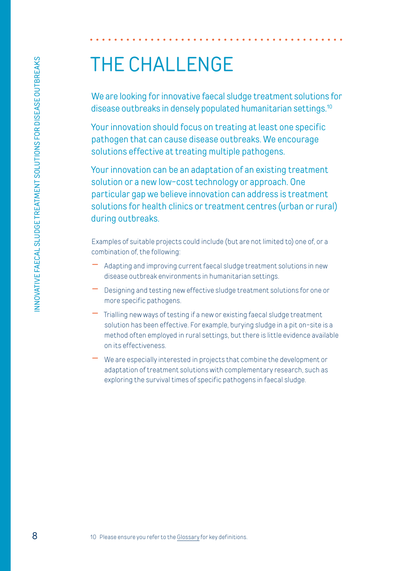### <span id="page-7-0"></span>THE CHALLENGE

We are looking for innovative faecal sludge treatment solutions for disease outbreaks in densely populated humanitarian settings.<sup>10</sup>

Your innovation should focus on treating at least one specific pathogen that can cause disease outbreaks. We encourage solutions effective at treating multiple pathogens.

Your innovation can be an adaptation of an existing treatment solution or a new low-cost technology or approach. One particular gap we believe innovation can address is treatment solutions for health clinics or treatment centres (urban or rural) during outbreaks.

Examples of suitable projects could include (but are not limited to) one of, or a combination of, the following:

- Adapting and improving current faecal sludge treatment solutions in new disease outbreak environments in humanitarian settings.
- Designing and testing new effective sludge treatment solutions for one or more specific pathogens.
- Trialling new ways of testing if a new or existing faecal sludge treatment solution has been effective. For example, burying sludge in a pit on-site is a method often employed in rural settings, but there is little evidence available on its effectiveness.
- We are especially interested in projects that combine the development or adaptation of treatment solutions with complementary research, such as exploring the survival times of specific pathogens in faecal sludge.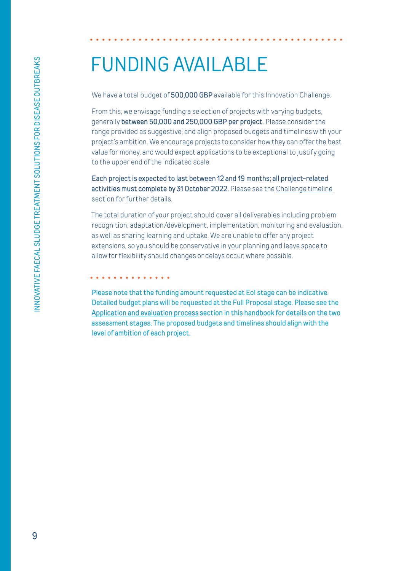### <span id="page-8-0"></span>FUNDING AVAILABLE

We have a total budget of 500,000 GBP available for this Innovation Challenge.

From this, we envisage funding a selection of projects with varying budgets, generally between 50,000 and 250,000 GBP per project. Please consider the range provided as suggestive, and align proposed budgets and timelines with your project's ambition. We encourage projects to consider how they can offer the best value for money, and would expect applications to be exceptional to justify going to the upper end of the indicated scale.

Each project is expected to last between 12 and 19 months; all project-related activities must complete by 31 October 2022. Please see the [Challenge timeline](#page-14-0) section for further details.

The total duration of your project should cover all deliverables including problem recognition, adaptation/development, implementation, monitoring and evaluation, as well as sharing learning and uptake. We are unable to offer any project extensions, so you should be conservative in your planning and leave space to allow for flexibility should changes or delays occur, where possible.

. . . . . . . . . . . . .

Please note that the funding amount requested at EoI stage can be indicative. Detailed budget plans will be requested at the Full Proposal stage. Please see the [Application and evaluation process](#page-16-0) section in this handbook for details on the two assessment stages. The proposed budgets and timelines should align with the level of ambition of each project.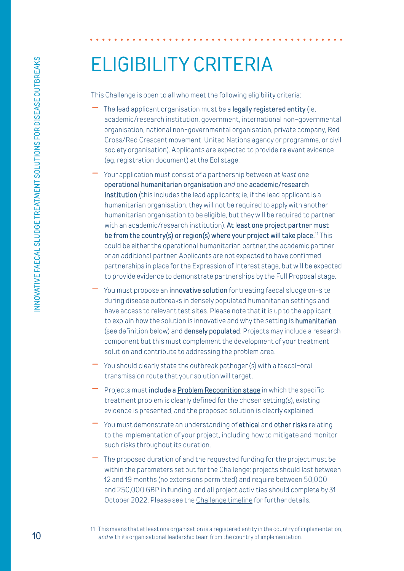# <span id="page-9-0"></span>ELIGIBILITY CRITERIA

This Challenge is open to all who meet the following eligibility criteria:

- The lead applicant organisation must be a *legally registered entity* (ie, academic/research institution, government, international non-governmental organisation, national non-governmental organisation, private company, Red Cross/Red Crescent movement, United Nations agency or programme, or civil society organisation). Applicants are expected to provide relevant evidence (eg, registration document) at the EoI stage.
- Your application must consist of a partnership between *at least* one operational humanitarian organisation *and* one academic/research institution (this includes the lead applicants; ie, if the lead applicant is a humanitarian organisation, they will not be required to apply with another humanitarian organisation to be eligible, but they will be required to partner with an academic/research institution). At least one project partner must be from the country(s) or region(s) where your project will take place.<sup>11</sup> This could be either the operational humanitarian partner, the academic partner or an additional partner. Applicants are not expected to have confirmed partnerships in place for the Expression of Interest stage, but will be expected to provide evidence to demonstrate partnerships by the Full Proposal stage.
- You must propose an *innovative solution* for treating faecal sludge on-site during disease outbreaks in densely populated humanitarian settings and have access to relevant test sites. Please note that it is up to the applicant to explain how the solution is innovative and why the setting is **humanitarian** (see definition below) and **densely populated**. Projects may include a research component but this must complement the development of your treatment solution and contribute to addressing the problem area.
- You should clearly state the outbreak pathogen(s) with a faecal-oral transmission route that your solution will target.
- Projects must include a [Problem Recognition stage](https://higuide.elrha.org/toolkits/get-started/innovation-process/) in which the specific treatment problem is clearly defined for the chosen setting(s), existing evidence is presented, and the proposed solution is clearly explained.
- You must demonstrate an understanding of **ethical** and **other risks** relating to the implementation of your project, including how to mitigate and monitor such risks throughout its duration.
- The proposed duration of and the requested funding for the project must be within the parameters set out for the Challenge: projects should last between 12 and 19 months (no extensions permitted) and require between 50,000 and 250,000 GBP in funding, and all project activities should complete by 31 October 2022. Please see the [Challenge timeline](#page-14-0) for further details.
- 11 This means that at least one organisation is a registered entity in the country of implementation, *and* with its organisational leadership team from the country of implementation.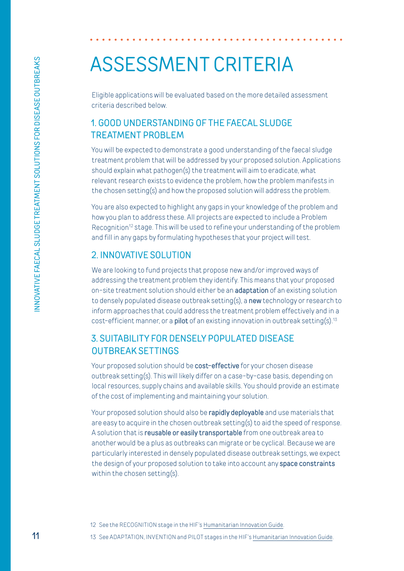### <span id="page-10-0"></span>ASSESSMENT CRITERIA

Eligible applications will be evaluated based on the more detailed assessment criteria described below.

#### 1. GOOD UNDERSTANDING OF THE FAECAL SLUDGE TREATMENT PROBLEM

You will be expected to demonstrate a good understanding of the faecal sludge treatment problem that will be addressed by your proposed solution. Applications should explain what pathogen(s) the treatment will aim to eradicate, what relevant research exists to evidence the problem, how the problem manifests in the chosen setting(s) and how the proposed solution will address the problem.

You are also expected to highlight any gaps in your knowledge of the problem and how you plan to address these. All projects are expected to include a Problem Recognition<sup>12</sup> stage. This will be used to refine your understanding of the problem and fill in any gaps by formulating hypotheses that your project will test.

#### 2. INNOVATIVE SOLUTION

We are looking to fund projects that propose new and/or improved ways of addressing the treatment problem they identify. This means that your proposed on-site treatment solution should either be an **adaptation** of an existing solution to densely populated disease outbreak setting(s), a new technology or research to inform approaches that could address the treatment problem effectively and in a cost-efficient manner, or a **pilot** of an existing innovation in outbreak setting(s).<sup>13</sup>

#### 3. SUITABILITY FOR DENSELY POPULATED DISEASE OUTBREAK SETTINGS

Your proposed solution should be **cost-effective** for your chosen disease outbreak setting(s). This will likely differ on a case-by-case basis, depending on local resources, supply chains and available skills. You should provide an estimate of the cost of implementing and maintaining your solution.

Your proposed solution should also be **rapidly deployable** and use materials that are easy to acquire in the chosen outbreak setting(s) to aid the speed of response. A solution that is reusable or easily transportable from one outbreak area to another would be a plus as outbreaks can migrate or be cyclical. Because we are particularly interested in densely populated disease outbreak settings, we expect the design of your proposed solution to take into account any **space constraints** within the chosen setting(s).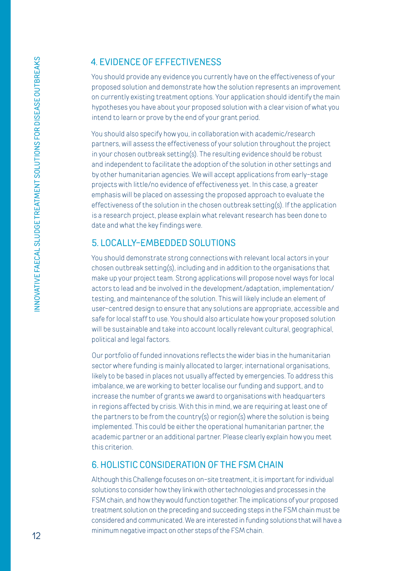#### 4. EVIDENCE OF EFFECTIVENESS

You should provide any evidence you currently have on the effectiveness of your proposed solution and demonstrate how the solution represents an improvement on currently existing treatment options. Your application should identify the main hypotheses you have about your proposed solution with a clear vision of what you intend to learn or prove by the end of your grant period.

You should also specify how you, in collaboration with academic/research partners, will assess the effectiveness of your solution throughout the project in your chosen outbreak setting(s). The resulting evidence should be robust and independent to facilitate the adoption of the solution in other settings and by other humanitarian agencies. We will accept applications from early-stage projects with little/no evidence of effectiveness yet. In this case, a greater emphasis will be placed on assessing the proposed approach to evaluate the effectiveness of the solution in the chosen outbreak setting(s). If the application is a research project, please explain what relevant research has been done to date and what the key findings were.

#### 5. LOCALLY-EMBEDDED SOLUTIONS

You should demonstrate strong connections with relevant local actors in your chosen outbreak setting(s), including and in addition to the organisations that make up your project team. Strong applications will propose novel ways for local actors to lead and be involved in the development/adaptation, implementation/ testing, and maintenance of the solution. This will likely include an element of user-centred design to ensure that any solutions are appropriate, accessible and safe for local staff to use. You should also articulate how your proposed solution will be sustainable and take into account locally relevant cultural, geographical, political and legal factors.

Our portfolio of funded innovations reflects the wider bias in the humanitarian sector where funding is mainly allocated to larger, international organisations, likely to be based in places not usually affected by emergencies. To address this imbalance, we are working to better localise our funding and support, and to increase the number of grants we award to organisations with headquarters in regions affected by crisis. With this in mind, we are requiring at least one of the partners to be from the country(s) or region(s) where the solution is being implemented. This could be either the operational humanitarian partner, the academic partner or an additional partner. Please clearly explain how you meet this criterion.

#### 6. HOLISTIC CONSIDERATION OF THE FSM CHAIN

Although this Challenge focuses on on-site treatment, it is important for individual solutions to consider how they link with other technologies and processes in the FSM chain, and how they would function together. The implications of your proposed treatment solution on the preceding and succeeding steps in the FSM chain must be considered and communicated. We are interested in funding solutions that will have a minimum negative impact on other steps of the FSM chain.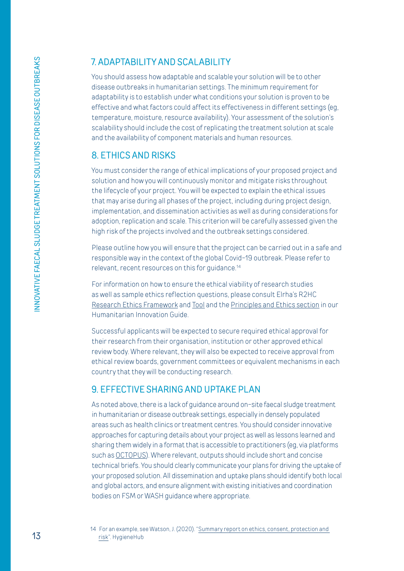### 7. ADAPTABILITY AND SCALABILITY

You should assess how adaptable and scalable your solution will be to other disease outbreaks in humanitarian settings. The minimum requirement for adaptability is to establish under what conditions your solution is proven to be effective and what factors could affect its effectiveness in different settings (eg, temperature, moisture, resource availability). Your assessment of the solution's scalability should include the cost of replicating the treatment solution at scale and the availability of component materials and human resources.

#### 8. ETHICS AND RISKS

You must consider the range of ethical implications of your proposed project and solution and how you will continuously monitor and mitigate risks throughout the lifecycle of your project. You will be expected to explain the ethical issues that may arise during all phases of the project, including during project design, implementation, and dissemination activities as well as during considerations for adoption, replication and scale. This criterion will be carefully assessed given the high risk of the projects involved and the outbreak settings considered.

Please outline how you will ensure that the project can be carried out in a safe and responsible way in the context of the global Covid-19 outbreak. Please refer to relevant, recent resources on this for quidance.<sup>14</sup>

For information on how to ensure the ethical viability of research studies as well as sample ethics reflection questions, please consult Elrha's R2HC [Research Ethics Framework](https://www.elrha.org/researchdatabase/r2hc-ethics-framework-2-0/) and [Tool](https://www.elrha.org/researchdatabase/r2hc-research-ethics-tool/) and the [Principles and Ethics section](https://higuide.elrha.org/toolkits/get-started/principles-and-ethics/#ethics) in our Humanitarian Innovation Guide.

Successful applicants will be expected to secure required ethical approval for their research from their organisation, institution or other approved ethical review body. Where relevant, they will also be expected to receive approval from ethical review boards, government committees or equivalent mechanisms in each country that they will be conducting research.

#### 9. EFFECTIVE SHARING AND UPTAKE PLAN

As noted above, there is a lack of guidance around on-site faecal sludge treatment in humanitarian or disease outbreak settings, especially in densely populated areas such as health clinics or treatment centres. You should consider innovative approaches for capturing details about your project as well as lessons learned and sharing them widely in a format that is accessible to practitioners (eg, via platforms such as [OCTOPUS](https://octopus.solidarites.org/)). Where relevant, outputs should include short and concise technical briefs. You should clearly communicate your plans for driving the uptake of your proposed solution. All dissemination and uptake plans should identify both local and global actors, and ensure alignment with existing initiatives and coordination bodies on FSM or WASH guidance where appropriate.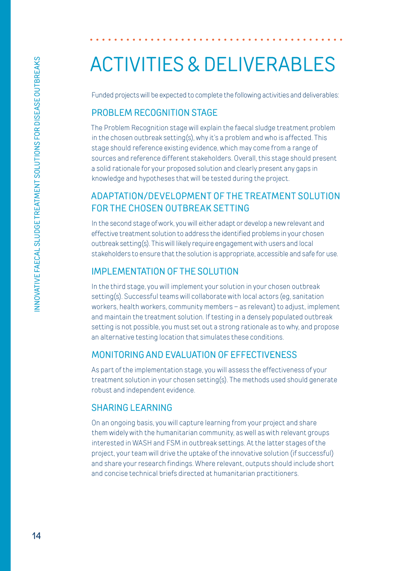# <span id="page-13-0"></span>ACTIVITIES & DELIVERABLES

Funded projects will be expected to complete the following activities and deliverables:

#### PROBLEM RECOGNITION STAGE

The Problem Recognition stage will explain the faecal sludge treatment problem in the chosen outbreak setting(s), why it's a problem and who is affected. This stage should reference existing evidence, which may come from a range of sources and reference different stakeholders. Overall, this stage should present a solid rationale for your proposed solution and clearly present any gaps in knowledge and hypotheses that will be tested during the project.

### ADAPTATION/DEVELOPMENT OF THE TREATMENT SOLUTION FOR THE CHOSEN OUTBREAK SETTING

 In the second stage of work, you will either adapt or develop a new relevant and effective treatment solution to address the identified problems in your chosen outbreak setting(s). This will likely require engagement with users and local stakeholders to ensure that the solution is appropriate, accessible and safe for use.

#### IMPLEMENTATION OF THE SOLUTION

In the third stage, you will implement your solution in your chosen outbreak setting(s). Successful teams will collaborate with local actors (eg. sanitation workers, health workers, community members – as relevant) to adjust, implement and maintain the treatment solution. If testing in a densely populated outbreak setting is not possible, you must set out a strong rationale as to why, and propose an alternative testing location that simulates these conditions.

#### MONITORING AND EVALUATION OF EFFECTIVENESS

As part of the implementation stage, you will assess the effectiveness of your treatment solution in your chosen setting(s). The methods used should generate robust and independent evidence.

#### SHARING LEARNING

On an ongoing basis, you will capture learning from your project and share them widely with the humanitarian community, as well as with relevant groups interested in WASH and FSM in outbreak settings. At the latter stages of the project, your team will drive the uptake of the innovative solution (if successful) and share your research findings. Where relevant, outputs should include short and concise technical briefs directed at humanitarian practitioners.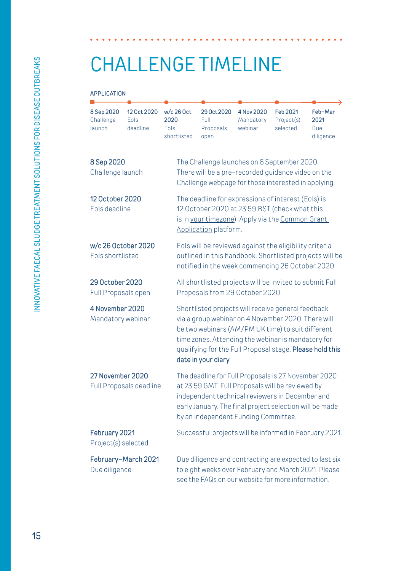# <span id="page-14-0"></span>CHALLENGE TIMELINE

#### APPLICATION

| 8 Sep 2020<br>Challenge<br>launch           | 12 Oct 2020<br>Eols<br>deadline | $w/c$ 26 Oct<br>2020<br>Eols<br>shortlisted                                                                                                              | 29 Oct 2020<br>Full<br>Proposals<br>open                                                                                                                                                                                                                                                               | 4 Nov 2020<br>Mandatory<br>webinar | <b>Feb 2021</b><br>Project(s)<br>selected | Feb-Mar<br>2021<br><b>Due</b><br>diligence |  |
|---------------------------------------------|---------------------------------|----------------------------------------------------------------------------------------------------------------------------------------------------------|--------------------------------------------------------------------------------------------------------------------------------------------------------------------------------------------------------------------------------------------------------------------------------------------------------|------------------------------------|-------------------------------------------|--------------------------------------------|--|
| 8 Sep 2020<br>Challenge launch              |                                 | The Challenge launches on 8 September 2020.<br>There will be a pre-recorded guidance video on the<br>Challenge webpage for those interested in applying. |                                                                                                                                                                                                                                                                                                        |                                    |                                           |                                            |  |
| 12 October 2020<br>Eols deadline            |                                 |                                                                                                                                                          | The deadline for expressions of interest (Eols) is<br>12 October 2020 at 23:59 BST (check what this<br>is in your timezone). Apply via the Common Grant<br>Application platform.                                                                                                                       |                                    |                                           |                                            |  |
| w/c 26 October 2020<br>Eols shortlisted     |                                 |                                                                                                                                                          | Eols will be reviewed against the eligibility criteria<br>outlined in this handbook. Shortlisted projects will be<br>notified in the week commencing 26 October 2020.                                                                                                                                  |                                    |                                           |                                            |  |
| 29 October 2020<br>Full Proposals open      |                                 |                                                                                                                                                          | All shortlisted projects will be invited to submit Full<br>Proposals from 29 October 2020.                                                                                                                                                                                                             |                                    |                                           |                                            |  |
| 4 November 2020<br>Mandatory webinar        |                                 |                                                                                                                                                          | Shortlisted projects will receive general feedback<br>via a group webinar on 4 November 2020. There will<br>be two webinars (AM/PM UK time) to suit different<br>time zones. Attending the webinar is mandatory for<br>qualifying for the Full Proposal stage. Please hold this<br>date in your diary. |                                    |                                           |                                            |  |
| 27 November 2020<br>Full Proposals deadline |                                 |                                                                                                                                                          | The deadline for Full Proposals is 27 November 2020<br>at 23:59 GMT. Full Proposals will be reviewed by<br>independent technical reviewers in December and<br>early January. The final project selection will be made<br>by an independent Funding Committee.                                          |                                    |                                           |                                            |  |
| February 2021<br>Project(s) selected        |                                 |                                                                                                                                                          | Successful projects will be informed in February 2021.                                                                                                                                                                                                                                                 |                                    |                                           |                                            |  |
| February-March 2021<br>Due diligence        |                                 |                                                                                                                                                          | Due diligence and contracting are expected to last six<br>to eight weeks over February and March 2021. Please<br>see the <b>FAQs</b> on our website for more information.                                                                                                                              |                                    |                                           |                                            |  |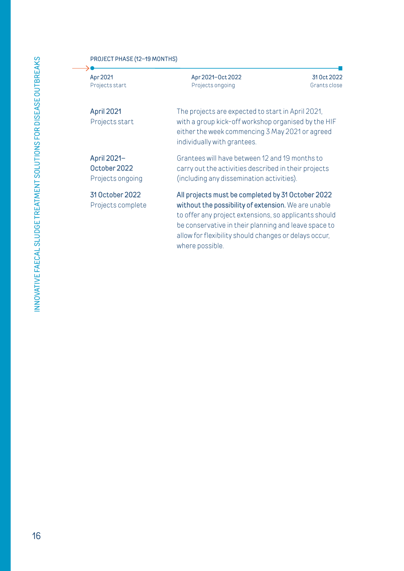#### PROJECT PHASE (12–19 MONTHS)

Apr 2021 Projects start

→

April 2021 Projects start The projects are expected to start in April 2021, with a group kick-off workshop organised by the HIF either the week commencing 3 May 2021 or agreed individually with grantees.

31 Oct 2022 Grants close

Apr 2021–Oct 2022 Projects ongoing

April 2021– October 2022 Projects ongoing

31 October 2022 Projects complete Grantees will have between 12 and 19 months to carry out the activities described in their projects (including any dissemination activities).

All projects must be completed by 31 October 2022 without the possibility of extension. We are unable to offer any project extensions, so applicants should be conservative in their planning and leave space to allow for flexibility should changes or delays occur, where possible.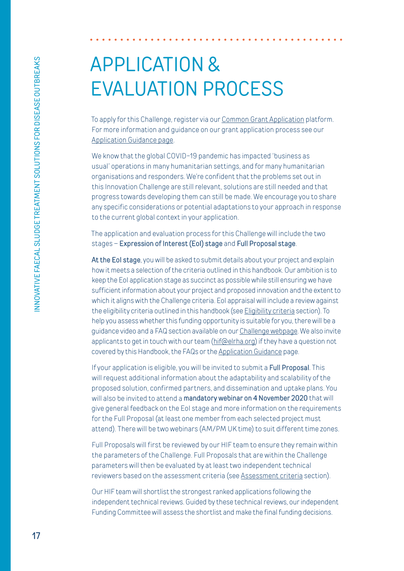# <span id="page-16-0"></span>APPLICATION & EVALUATION PROCESS

To apply for this Challenge, register via our [Common Grant Application](https://www.commongrantapplication.com/register.php?refOrgId=20971&refProgId=798&refProgType=all) platform. For more information and guidance on our grant application process see our [Application Guidance page](https://www.elrha.org/funding-support/guidance-and-support/).

We know that the global COVID-19 pandemic has impacted 'business as usual' operations in many humanitarian settings, and for many humanitarian organisations and responders. We're confident that the problems set out in this Innovation Challenge are still relevant, solutions are still needed and that progress towards developing them can still be made. We encourage you to share any specific considerations or potential adaptations to your approach in response to the current global context in your application.

The application and evaluation process for this Challenge will include the two stages - Expression of Interest (EoI) stage and Full Proposal stage.

At the Eol stage, you will be asked to submit details about your project and explain how it meets a selection of the criteria outlined in this handbook. Our ambition is to keep the EoI application stage as succinct as possible while still ensuring we have sufficient information about your project and proposed innovation and the extent to which it aligns with the Challenge criteria. Eol appraisal will include a review against the eligibility criteria outlined in this handbook (see [Eligibility criteria](https://www.commongrantapplication.com/register.php?refOrgId=20971&refProgId=798&refProgType=all) section). To help you assess whether this funding opportunity is suitable for you, there will be a guidance video and a FAQ section available on our [Challenge webpage](https://www.elrha.org/funding-opportunity/innovation-challenge-faecal-sludge-treatment-for-disease-outbreaks-in-humanitarian-settings). We also invite applicants to get in touch with our team ([hif@elrha.org\)](mailto:hif%40elrha.org?subject=Faecal%20Sludge%20Management%20Challenge) if they have a question not covered by this Handbook, the FAQs or the [Application Guidance](https://www.elrha.org/funding-support/guidance-and-support/) page.

If your application is eligible, you will be invited to submit a Full Proposal. This will request additional information about the adaptability and scalability of the proposed solution, confirmed partners, and dissemination and uptake plans. You will also be invited to attend a **mandatory webinar on 4 November 2020** that will give general feedback on the EoI stage and more information on the requirements for the Full Proposal (at least one member from each selected project must attend). There will be two webinars (AM/PM UK time) to suit different time zones.

Full Proposals will first be reviewed by our HIF team to ensure they remain within the parameters of the Challenge. Full Proposals that are within the Challenge parameters will then be evaluated by at least two independent technical reviewers based on the assessment criteria (see [Assessment criteria](#page-10-0) section).

Our HIF team will shortlist the strongest ranked applications following the independent technical reviews. Guided by these technical reviews, our independent Funding Committee will assess the shortlist and make the final funding decisions.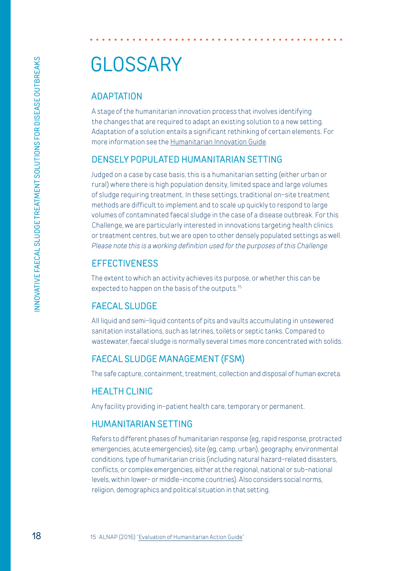# <span id="page-17-0"></span>**GLOSSARY**

#### ADAPTATION

A stage of the humanitarian innovation process that involves identifying the changes that are required to adapt an existing solution to a new setting. Adaptation of a solution entails a significant rethinking of certain elements. For more information see the [Humanitarian Innovation Guide.](https://higuide.elrha.org/toolkits/get-started/innovation-process/)

#### DENSELY POPULATED HUMANITARIAN SETTING

Judged on a case by case basis, this is a humanitarian setting (either urban or rural) where there is high population density, limited space and large volumes of sludge requiring treatment. In these settings, traditional on-site treatment methods are difficult to implement and to scale up quickly to respond to large volumes of contaminated faecal sludge in the case of a disease outbreak. For this Challenge, we are particularly interested in innovations targeting health clinics or treatment centres, but we are open to other densely populated settings as well. *Please note this is a working definition used for the purposes of this Challenge.*

#### **EFFECTIVENESS**

The extent to which an activity achieves its purpose, or whether this can be expected to happen on the basis of the outputs.<sup>15</sup>

#### FAECAL SLUDGE

All liquid and semi-liquid contents of pits and vaults accumulating in unsewered sanitation installations, such as latrines, toilets or septic tanks. Compared to wastewater, faecal sludge is normally several times more concentrated with solids.

#### FAECAL SLUDGE MANAGEMENT (FSM)

The safe capture, containment, treatment, collection and disposal of human excreta.

#### HEALTH CLINIC

Any facility providing in-patient health care, temporary or permanent.

#### HUMANITARIAN SETTING

Refers to different phases of humanitarian response (eg, rapid response, protracted emergencies, acute emergencies), site (eg, camp, urban), geography, environmental conditions, type of humanitarian crisis (including natural hazard-related disasters, conflicts, or complex emergencies, either at the regional, national or sub-national levels, within lower- or middle-income countries). Also considers social norms, religion, demographics and political situation in that setting.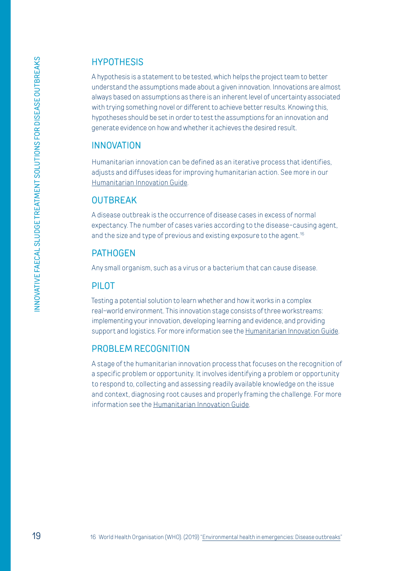#### **HYPOTHESIS**

A hypothesis is a statement to be tested, which helps the project team to better understand the assumptions made about a given innovation. Innovations are almost always based on assumptions as there is an inherent level of uncertainty associated with trying something novel or different to achieve better results. Knowing this, hypotheses should be set in order to test the assumptions for an innovation and generate evidence on how and whether it achieves the desired result.

#### INNOVATION

Humanitarian innovation can be defined as an iterative process that identifies, adjusts and diffuses ideas for improving humanitarian action. See more in our [Humanitarian Innovation Guide](https://higuide.elrha.org/).

#### **OUTBREAK**

A disease outbreak is the occurrence of disease cases in excess of normal expectancy. The number of cases varies according to the disease-causing agent, and the size and type of previous and existing exposure to the agent.<sup>16</sup>

#### PATHOGEN

Any small organism, such as a virus or a bacterium that can cause disease.

#### PILOT

Testing a potential solution to learn whether and how it works in a complex real-world environment. This innovation stage consists of three workstreams: implementing your innovation, developing learning and evidence, and providing support and logistics. For more information see the [Humanitarian Innovation Guide.](https://higuide.elrha.org/toolkits/get-started/innovation-process/)

#### PROBLEM RECOGNITION

A stage of the humanitarian innovation process that focuses on the recognition of a specific problem or opportunity. It involves identifying a problem or opportunity to respond to, collecting and assessing readily available knowledge on the issue and context, diagnosing root causes and properly framing the challenge. For more information see the [Humanitarian Innovation Guide.](https://higuide.elrha.org/toolkits/get-started/innovation-process/)